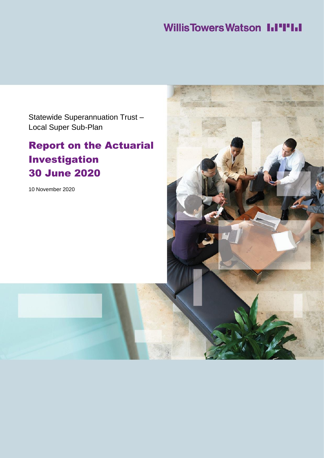# **Willis Towers Watson III'IIII**

Statewide Superannuation Trust – Local Super Sub-Plan

# Report on the Actuarial Investigation 30 June 2020

10 November 2020

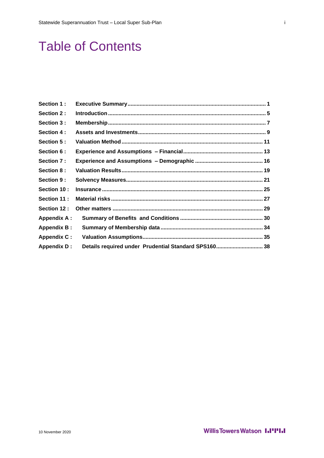# **Table of Contents**

| Section 1:         |                                                      |  |
|--------------------|------------------------------------------------------|--|
| Section 2:         |                                                      |  |
| Section 3 :        |                                                      |  |
| Section 4:         |                                                      |  |
| Section 5:         |                                                      |  |
| Section 6 :        |                                                      |  |
| Section 7:         |                                                      |  |
| Section 8:         |                                                      |  |
| Section 9:         |                                                      |  |
| Section 10:        |                                                      |  |
| Section 11:        |                                                      |  |
| Section 12 :       |                                                      |  |
| <b>Appendix A:</b> |                                                      |  |
| <b>Appendix B:</b> |                                                      |  |
| <b>Appendix C:</b> |                                                      |  |
| <b>Appendix D:</b> | Details required under Prudential Standard SPS160 38 |  |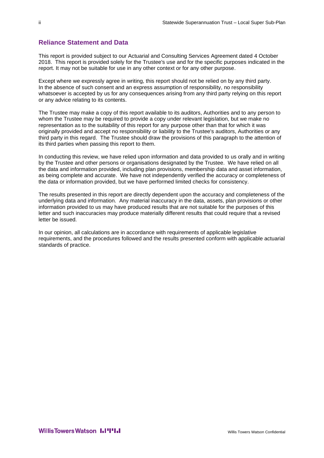## **Reliance Statement and Data**

This report is provided subject to our Actuarial and Consulting Services Agreement dated 4 October 2018. This report is provided solely for the Trustee's use and for the specific purposes indicated in the report. It may not be suitable for use in any other context or for any other purpose.

Except where we expressly agree in writing, this report should not be relied on by any third party. In the absence of such consent and an express assumption of responsibility, no responsibility whatsoever is accepted by us for any consequences arising from any third party relying on this report or any advice relating to its contents.

The Trustee may make a copy of this report available to its auditors, Authorities and to any person to whom the Trustee may be required to provide a copy under relevant legislation, but we make no representation as to the suitability of this report for any purpose other than that for which it was originally provided and accept no responsibility or liability to the Trustee's auditors, Authorities or any third party in this regard. The Trustee should draw the provisions of this paragraph to the attention of its third parties when passing this report to them.

In conducting this review, we have relied upon information and data provided to us orally and in writing by the Trustee and other persons or organisations designated by the Trustee. We have relied on all the data and information provided, including plan provisions, membership data and asset information, as being complete and accurate. We have not independently verified the accuracy or completeness of the data or information provided, but we have performed limited checks for consistency.

The results presented in this report are directly dependent upon the accuracy and completeness of the underlying data and information. Any material inaccuracy in the data, assets, plan provisions or other information provided to us may have produced results that are not suitable for the purposes of this letter and such inaccuracies may produce materially different results that could require that a revised letter be issued.

In our opinion, all calculations are in accordance with requirements of applicable legislative requirements, and the procedures followed and the results presented conform with applicable actuarial standards of practice.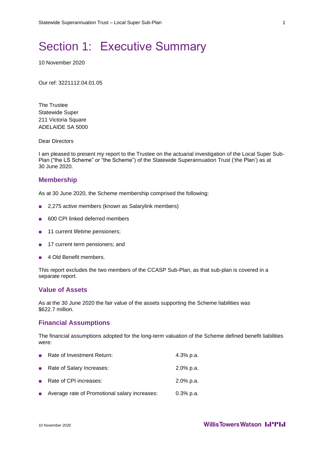# <span id="page-4-0"></span>Section 1: Executive Summary

10 November 2020

Our ref: 3221112.04.01.05

The Trustee Statewide Super 211 Victoria Square ADELAIDE SA 5000

Dear Directors

I am pleased to present my report to the Trustee on the actuarial investigation of the Local Super Sub-Plan ("the LS Scheme" or "the Scheme") of the Statewide Superannuation Trust ('the Plan') as at 30 June 2020.

#### **Membership**

As at 30 June 2020, the Scheme membership comprised the following:

- 2,275 active members (known as Salarylink members)
- 600 CPI linked deferred members
- 11 current lifetime pensioners;
- 17 current term pensioners; and
- 4 Old Benefit members.

This report excludes the two members of the CCASP Sub-Plan, as that sub-plan is covered in a separate report.

## **Value of Assets**

As at the 30 June 2020 the fair value of the assets supporting the Scheme liabilities was \$622.7 million.

### **Financial Assumptions**

The financial assumptions adopted for the long-term valuation of the Scheme defined benefit liabilities were:

| $\sim$                   | Rate of Investment Return:                    | 4.3% p.a.    |
|--------------------------|-----------------------------------------------|--------------|
|                          | Rate of Salary Increases:                     | 2.0% p.a.    |
|                          | ■ Rate of CPI increases:                      | 2.0% p.a.    |
| $\mathcal{L}_{\rm{eff}}$ | Average rate of Promotional salary increases: | $0.3\%$ p.a. |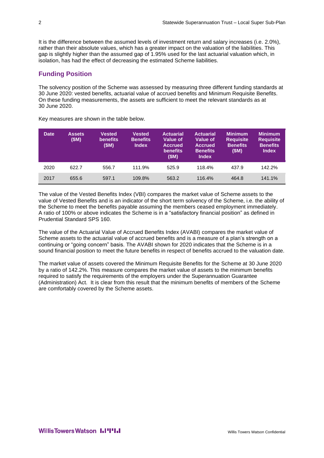It is the difference between the assumed levels of investment return and salary increases (i.e. 2.0%), rather than their absolute values, which has a greater impact on the valuation of the liabilities. This gap is slightly higher than the assumed gap of 1.95% used for the last actuarial valuation which, in isolation, has had the effect of decreasing the estimated Scheme liabilities.

# **Funding Position**

The solvency position of the Scheme was assessed by measuring three different funding standards at 30 June 2020: vested benefits, actuarial value of accrued benefits and Minimum Requisite Benefits. On these funding measurements, the assets are sufficient to meet the relevant standards as at 30 June 2020.

| <b>Date</b> | <b>Assets</b><br>(\$M) | <b>Vested</b><br><b>benefits</b><br>(\$M) | <b>Vested</b><br><b>Benefits</b><br><b>Index</b> | <b>Actuarial</b><br><b>Value of</b><br><b>Accrued</b><br><b>benefits</b><br>(SM) | <b>Actuarial</b><br><b>Value of</b><br><b>Accrued</b><br><b>Benefits</b><br><b>Index</b> | <b>Minimum</b><br><b>Requisite</b><br><b>Benefits</b><br>(SM) | <b>Minimum</b><br><b>Requisite</b><br><b>Benefits</b><br><b>Index</b> |
|-------------|------------------------|-------------------------------------------|--------------------------------------------------|----------------------------------------------------------------------------------|------------------------------------------------------------------------------------------|---------------------------------------------------------------|-----------------------------------------------------------------------|
| 2020        | 622.7                  | 556.7                                     | 111.9%                                           | 525.9                                                                            | 118.4%                                                                                   | 437.9                                                         | 142.2%                                                                |
| 2017        | 655.6                  | 597.1                                     | 109.8%                                           | 563.2                                                                            | 116.4%                                                                                   | 464.8                                                         | 141.1%                                                                |

Key measures are shown in the table below.

The value of the Vested Benefits Index (VBI) compares the market value of Scheme assets to the value of Vested Benefits and is an indicator of the short term solvency of the Scheme, i.e. the ability of the Scheme to meet the benefits payable assuming the members ceased employment immediately. A ratio of 100% or above indicates the Scheme is in a "satisfactory financial position" as defined in Prudential Standard SPS 160.

The value of the Actuarial Value of Accrued Benefits Index (AVABI) compares the market value of Scheme assets to the actuarial value of accrued benefits and is a measure of a plan's strength on a continuing or "going concern" basis. The AVABI shown for 2020 indicates that the Scheme is in a sound financial position to meet the future benefits in respect of benefits accrued to the valuation date.

The market value of assets covered the Minimum Requisite Benefits for the Scheme at 30 June 2020 by a ratio of 142.2%. This measure compares the market value of assets to the minimum benefits required to satisfy the requirements of the employers under the Superannuation Guarantee (Administration) Act. It is clear from this result that the minimum benefits of members of the Scheme are comfortably covered by the Scheme assets.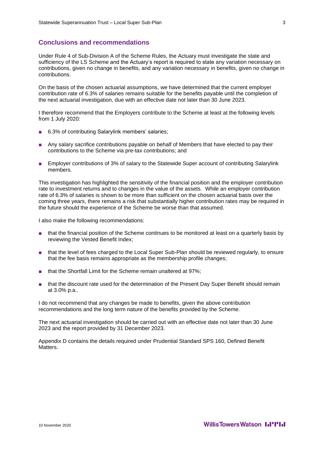## **Conclusions and recommendations**

Under Rule 4 of Sub-Division A of the Scheme Rules, the Actuary must investigate the state and sufficiency of the LS Scheme and the Actuary's report is required to state any variation necessary on contributions, given no change in benefits, and any variation necessary in benefits, given no change in contributions.

On the basis of the chosen actuarial assumptions, we have determined that the current employer contribution rate of 6.3% of salaries remains suitable for the benefits payable until the completion of the next actuarial investigation, due with an effective date not later than 30 June 2023.

I therefore recommend that the Employers contribute to the Scheme at least at the following levels from 1 July 2020:

- 6.3% of contributing Salarylink members' salaries;
- Any salary sacrifice contributions payable on behalf of Members that have elected to pay their contributions to the Scheme via pre-tax contributions; and
- Employer contributions of 3% of salary to the Statewide Super account of contributing Salarylink members.

This investigation has highlighted the sensitivity of the financial position and the employer contribution rate to investment returns and to changes in the value of the assets. While an employer contribution rate of 6.3% of salaries is shown to be more than sufficient on the chosen actuarial basis over the coming three years, there remains a risk that substantially higher contribution rates may be required in the future should the experience of the Scheme be worse than that assumed.

I also make the following recommendations:

- that the financial position of the Scheme continues to be monitored at least on a quarterly basis by reviewing the Vested Benefit Index;
- that the level of fees charged to the Local Super Sub-Plan should be reviewed regularly, to ensure that the fee basis remains appropriate as the membership profile changes;
- that the Shortfall Limit for the Scheme remain unaltered at 97%;
- that the discount rate used for the determination of the Present Day Super Benefit should remain at 3.0% p.a..

I do not recommend that any changes be made to benefits, given the above contribution recommendations and the long term nature of the benefits provided by the Scheme.

The next actuarial investigation should be carried out with an effective date not later than 30 June 2023 and the report provided by 31 December 2023.

Appendix D contains the details required under Prudential Standard SPS 160, Defined Benefit **Matters**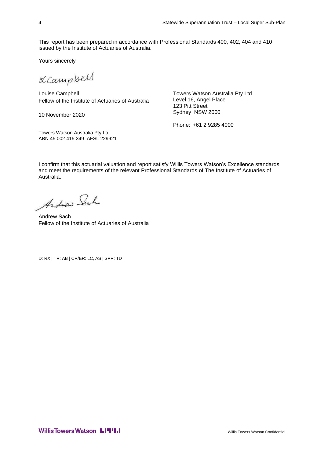This report has been prepared in accordance with Professional Standards 400, 402, 404 and 410 issued by the Institute of Actuaries of Australia.

Yours sincerely

LCampbell

Louise Campbell Fellow of the Institute of Actuaries of Australia

10 November 2020

Towers Watson Australia Pty Ltd ABN 45 002 415 349 AFSL 229921 Towers Watson Australia Pty Ltd Level 16, Angel Place 123 Pitt Street Sydney NSW 2000

Phone: +61 2 9285 4000

I confirm that this actuarial valuation and report satisfy Willis Towers Watson's Excellence standards and meet the requirements of the relevant Professional Standards of The Institute of Actuaries of Australia.

Andraw Sach

Andrew Sach Fellow of the Institute of Actuaries of Australia

D: RX | TR: AB | CR/ER: LC, AS | SPR: TD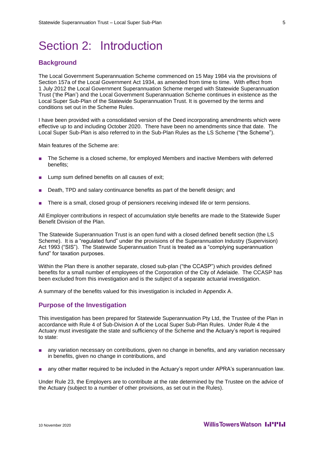# <span id="page-8-0"></span>Section 2: Introduction

## **Background**

The Local Government Superannuation Scheme commenced on 15 May 1984 via the provisions of Section 157a of the Local Government Act 1934, as amended from time to time. With effect from 1 July 2012 the Local Government Superannuation Scheme merged with Statewide Superannuation Trust ('the Plan') and the Local Government Superannuation Scheme continues in existence as the Local Super Sub-Plan of the Statewide Superannuation Trust. It is governed by the terms and conditions set out in the Scheme Rules.

I have been provided with a consolidated version of the Deed incorporating amendments which were effective up to and including October 2020. There have been no amendments since that date. The Local Super Sub-Plan is also referred to in the Sub-Plan Rules as the LS Scheme ("the Scheme").

Main features of the Scheme are:

- The Scheme is a closed scheme, for employed Members and inactive Members with deferred benefits;
- Lump sum defined benefits on all causes of exit;
- Death, TPD and salary continuance benefits as part of the benefit design; and
- There is a small, closed group of pensioners receiving indexed life or term pensions.

All Employer contributions in respect of accumulation style benefits are made to the Statewide Super Benefit Division of the Plan.

The Statewide Superannuation Trust is an open fund with a closed defined benefit section (the LS Scheme). It is a "regulated fund" under the provisions of the Superannuation Industry (Supervision) Act 1993 ("SIS"). The Statewide Superannuation Trust is treated as a "complying superannuation fund" for taxation purposes.

Within the Plan there is another separate, closed sub-plan ("the CCASP") which provides defined benefits for a small number of employees of the Corporation of the City of Adelaide. The CCASP has been excluded from this investigation and is the subject of a separate actuarial investigation.

A summary of the benefits valued for this investigation is included in Appendix A.

### **Purpose of the Investigation**

This investigation has been prepared for Statewide Superannuation Pty Ltd, the Trustee of the Plan in accordance with Rule 4 of Sub-Division A of the Local Super Sub-Plan Rules. Under Rule 4 the Actuary must investigate the state and sufficiency of the Scheme and the Actuary's report is required to state:

- any variation necessary on contributions, given no change in benefits, and any variation necessary in benefits, given no change in contributions, and
- any other matter required to be included in the Actuary's report under APRA's superannuation law.

Under Rule 23, the Employers are to contribute at the rate determined by the Trustee on the advice of the Actuary (subject to a number of other provisions, as set out in the Rules).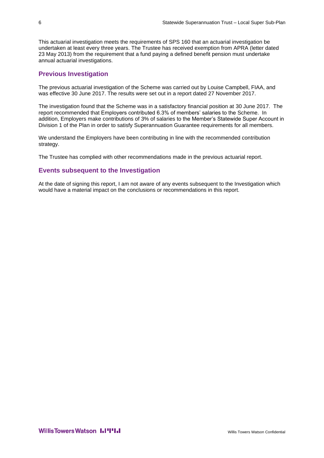This actuarial investigation meets the requirements of SPS 160 that an actuarial investigation be undertaken at least every three years. The Trustee has received exemption from APRA (letter dated 23 May 2013) from the requirement that a fund paying a defined benefit pension must undertake annual actuarial investigations.

# **Previous Investigation**

The previous actuarial investigation of the Scheme was carried out by Louise Campbell, FIAA, and was effective 30 June 2017. The results were set out in a report dated 27 November 2017.

The investigation found that the Scheme was in a satisfactory financial position at 30 June 2017. The report recommended that Employers contributed 6.3% of members' salaries to the Scheme. In addition, Employers make contributions of 3% of salaries to the Member's Statewide Super Account in Division 1 of the Plan in order to satisfy Superannuation Guarantee requirements for all members.

We understand the Employers have been contributing in line with the recommended contribution strategy.

The Trustee has complied with other recommendations made in the previous actuarial report.

## **Events subsequent to the Investigation**

At the date of signing this report, I am not aware of any events subsequent to the Investigation which would have a material impact on the conclusions or recommendations in this report.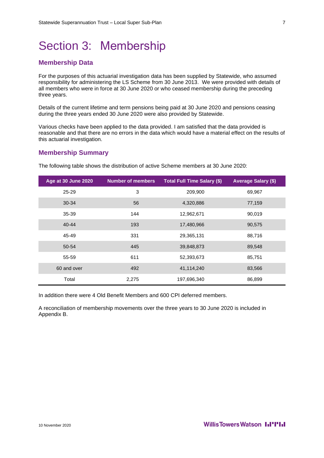# <span id="page-10-0"></span>Section 3: Membership

# **Membership Data**

For the purposes of this actuarial investigation data has been supplied by Statewide, who assumed responsibility for administering the LS Scheme from 30 June 2013. We were provided with details of all members who were in force at 30 June 2020 or who ceased membership during the preceding three years.

Details of the current lifetime and term pensions being paid at 30 June 2020 and pensions ceasing during the three years ended 30 June 2020 were also provided by Statewide.

Various checks have been applied to the data provided. I am satisfied that the data provided is reasonable and that there are no errors in the data which would have a material effect on the results of this actuarial investigation.

### **Membership Summary**

| <b>Age at 30 June 2020</b> | <b>Number of members</b> | <b>Total Full Time Salary (\$)</b> | <b>Average Salary (\$)</b> |
|----------------------------|--------------------------|------------------------------------|----------------------------|
| 25-29                      | 3                        | 209,900                            | 69,967                     |
| $30 - 34$                  | 56                       | 4,320,886                          | 77,159                     |
| 35-39                      | 144                      | 12,962,671                         | 90,019                     |
| $40 - 44$                  | 193                      | 17,480,966                         | 90,575                     |
| 45-49                      | 331                      | 29,365,131                         | 88,716                     |
| 50-54                      | 445                      | 39,848,873                         | 89,548                     |
| 55-59                      | 611                      | 52,393,673                         | 85,751                     |
| 60 and over                | 492                      | 41,114,240                         | 83,566                     |
| Total                      | 2,275                    | 197,696,340                        | 86,899                     |

The following table shows the distribution of active Scheme members at 30 June 2020:

In addition there were 4 Old Benefit Members and 600 CPI deferred members.

A reconciliation of membership movements over the three years to 30 June 2020 is included in Appendix B.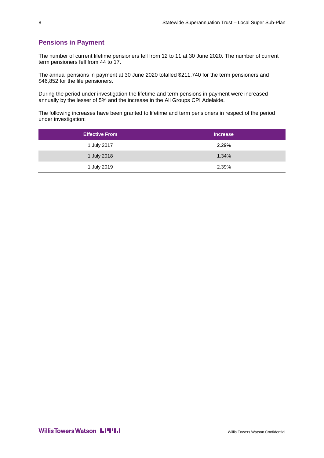# **Pensions in Payment**

The number of current lifetime pensioners fell from 12 to 11 at 30 June 2020. The number of current term pensioners fell from 44 to 17.

The annual pensions in payment at 30 June 2020 totalled \$211,740 for the term pensioners and \$46,852 for the life pensioners.

During the period under investigation the lifetime and term pensions in payment were increased annually by the lesser of 5% and the increase in the All Groups CPI Adelaide.

The following increases have been granted to lifetime and term pensioners in respect of the period under investigation:

| <b>Effective From</b> | <b>Increase</b> |
|-----------------------|-----------------|
| 1 July 2017           | 2.29%           |
| 1 July 2018           | 1.34%           |
| 1 July 2019           | 2.39%           |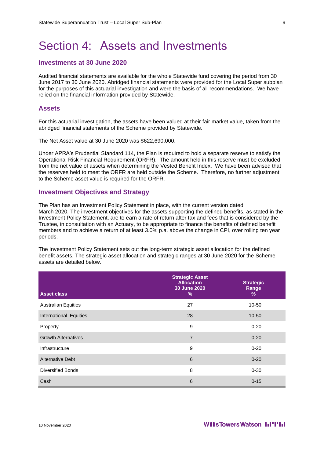# <span id="page-12-0"></span>Section 4: Assets and Investments

## **Investments at 30 June 2020**

Audited financial statements are available for the whole Statewide fund covering the period from 30 June 2017 to 30 June 2020. Abridged financial statements were provided for the Local Super subplan for the purposes of this actuarial investigation and were the basis of all recommendations. We have relied on the financial information provided by Statewide.

### **Assets**

For this actuarial investigation, the assets have been valued at their fair market value, taken from the abridged financial statements of the Scheme provided by Statewide.

The Net Asset value at 30 June 2020 was \$622,690,000.

Under APRA's Prudential Standard 114, the Plan is required to hold a separate reserve to satisfy the Operational Risk Financial Requirement (ORFR). The amount held in this reserve must be excluded from the net value of assets when determining the Vested Benefit Index. We have been advised that the reserves held to meet the ORFR are held outside the Scheme. Therefore, no further adjustment to the Scheme asset value is required for the ORFR.

### **Investment Objectives and Strategy**

The Plan has an Investment Policy Statement in place, with the current version dated March 2020. The investment objectives for the assets supporting the defined benefits, as stated in the Investment Policy Statement, are to earn a rate of return after tax and fees that is considered by the Trustee, in consultation with an Actuary, to be appropriate to finance the benefits of defined benefit members and to achieve a return of at least 3.0% p.a. above the change in CPI, over rolling ten year periods.

The Investment Policy Statement sets out the long-term strategic asset allocation for the defined benefit assets. The strategic asset allocation and strategic ranges at 30 June 2020 for the Scheme assets are detailed below.

| <b>Asset class</b>         | <b>Strategic Asset</b><br><b>Allocation</b><br>30 June 2020<br>% | <b>Strategic</b><br>Range<br>% |
|----------------------------|------------------------------------------------------------------|--------------------------------|
| <b>Australian Equities</b> | 27                                                               | 10-50                          |
| International Equities     | 28                                                               | $10 - 50$                      |
| Property                   | 9                                                                | $0 - 20$                       |
| <b>Growth Alternatives</b> | $\overline{7}$                                                   | $0 - 20$                       |
| Infrastructure             | 9                                                                | $0 - 20$                       |
| <b>Alternative Debt</b>    | 6                                                                | $0 - 20$                       |
| <b>Diversified Bonds</b>   | 8                                                                | $0 - 30$                       |
| Cash                       | 6                                                                | $0 - 15$                       |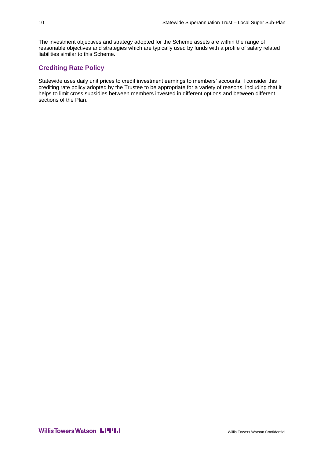The investment objectives and strategy adopted for the Scheme assets are within the range of reasonable objectives and strategies which are typically used by funds with a profile of salary related liabilities similar to this Scheme.

# **Crediting Rate Policy**

Statewide uses daily unit prices to credit investment earnings to members' accounts. I consider this crediting rate policy adopted by the Trustee to be appropriate for a variety of reasons, including that it helps to limit cross subsidies between members invested in different options and between different sections of the Plan.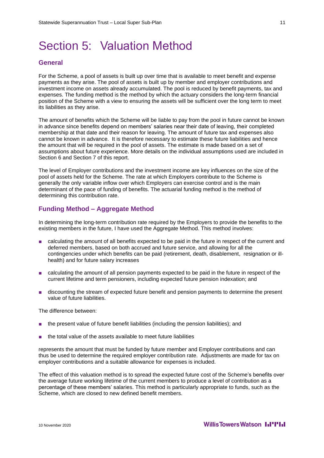# <span id="page-14-0"></span>Section 5: Valuation Method

## **General**

For the Scheme, a pool of assets is built up over time that is available to meet benefit and expense payments as they arise. The pool of assets is built up by member and employer contributions and investment income on assets already accumulated. The pool is reduced by benefit payments, tax and expenses. The funding method is the method by which the actuary considers the long-term financial position of the Scheme with a view to ensuring the assets will be sufficient over the long term to meet its liabilities as they arise.

The amount of benefits which the Scheme will be liable to pay from the pool in future cannot be known in advance since benefits depend on members' salaries near their date of leaving, their completed membership at that date and their reason for leaving. The amount of future tax and expenses also cannot be known in advance. It is therefore necessary to estimate these future liabilities and hence the amount that will be required in the pool of assets. The estimate is made based on a set of assumptions about future experience. More details on the individual assumptions used are included in [Section 6](#page-16-0) and [Section 7](#page-19-0) of this report.

The level of Employer contributions and the investment income are key influences on the size of the pool of assets held for the Scheme. The rate at which Employers contribute to the Scheme is generally the only variable inflow over which Employers can exercise control and is the main determinant of the pace of funding of benefits. The actuarial funding method is the method of determining this contribution rate.

## **Funding Method – Aggregate Method**

In determining the long-term contribution rate required by the Employers to provide the benefits to the existing members in the future, I have used the Aggregate Method. This method involves:

- calculating the amount of all benefits expected to be paid in the future in respect of the current and deferred members, based on both accrued and future service, and allowing for all the contingencies under which benefits can be paid (retirement, death, disablement, resignation or illhealth) and for future salary increases
- calculating the amount of all pension payments expected to be paid in the future in respect of the current lifetime and term pensioners, including expected future pension indexation; and
- discounting the stream of expected future benefit and pension payments to determine the present value of future liabilities.

The difference between:

- the present value of future benefit liabilities (including the pension liabilities); and
- the total value of the assets available to meet future liabilities

represents the amount that must be funded by future member and Employer contributions and can thus be used to determine the required employer contribution rate. Adjustments are made for tax on employer contributions and a suitable allowance for expenses is included.

The effect of this valuation method is to spread the expected future cost of the Scheme's benefits over the average future working lifetime of the current members to produce a level of contribution as a percentage of these members' salaries. This method is particularly appropriate to funds, such as the Scheme, which are closed to new defined benefit members.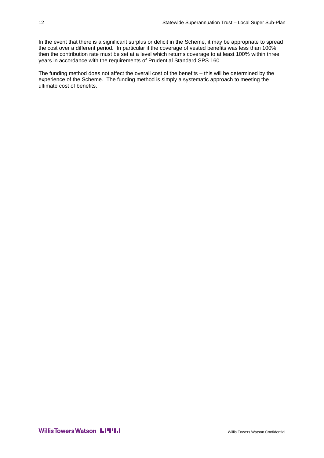In the event that there is a significant surplus or deficit in the Scheme, it may be appropriate to spread the cost over a different period. In particular if the coverage of vested benefits was less than 100% then the contribution rate must be set at a level which returns coverage to at least 100% within three years in accordance with the requirements of Prudential Standard SPS 160.

The funding method does not affect the overall cost of the benefits – this will be determined by the experience of the Scheme. The funding method is simply a systematic approach to meeting the ultimate cost of benefits.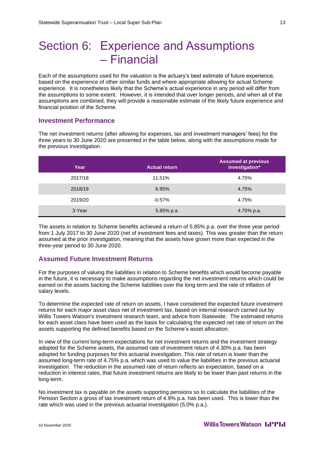# <span id="page-16-0"></span>Section 6: Experience and Assumptions – Financial

Each of the assumptions used for the valuation is the actuary's best estimate of future experience, based on the experience of other similar funds and where appropriate allowing for actual Scheme experience. It is nonetheless likely that the Scheme's actual experience in any period will differ from the assumptions to some extent. However, it is intended that over longer periods, and when all of the assumptions are combined, they will provide a reasonable estimate of the likely future experience and financial position of the Scheme.

### **Investment Performance**

The net investment returns (after allowing for expenses, tax and investment managers' fees) for the three years to 30 June 2020 are presented in the table below, along with the assumptions made for the previous investigation.

| Year    | <b>Actual return</b> | <b>Assumed at previous</b><br>investigation* |
|---------|----------------------|----------------------------------------------|
| 2017/18 | 11.51%               | 4.75%                                        |
| 2018/19 | 6.95%                | 4.75%                                        |
| 2019/20 | $-0.57\%$            | 4.75%                                        |
| 3-Year  | 5.85% p.a.           | 4.75% p.a.                                   |

The assets in relation to Scheme benefits achieved a return of 5.85% p.a. over the three year period from 1 July 2017 to 30 June 2020 (net of investment fees and taxes). This was greater than the return assumed at the prior investigation, meaning that the assets have grown more than expected in the three-year period to 30 June 2020.

## **Assumed Future Investment Returns**

For the purposes of valuing the liabilities in relation to Scheme benefits which would become payable in the future, it is necessary to make assumptions regarding the net investment returns which could be earned on the assets backing the Scheme liabilities over the long term and the rate of inflation of salary levels.

To determine the expected rate of return on assets, I have considered the expected future investment returns for each major asset class net of investment tax, based on internal research carried out by Willis Towers Watson's investment research team, and advice from Statewide. The estimated returns for each asset class have been used as the basis for calculating the expected net rate of return on the assets supporting the defined benefits based on the Scheme's asset allocation.

In view of the current long-term expectations for net investment returns and the investment strategy adopted for the Scheme assets, the assumed rate of investment return of 4.30% p.a. has been adopted for funding purposes for this actuarial investigation. This rate of return is lower than the assumed long-term rate of 4.75% p.a. which was used to value the liabilities in the previous actuarial investigation. The reduction in the assumed rate of return reflects an expectation, based on a reduction in interest rates, that future investment returns are likely to be lower than past returns in the long-term.

No investment tax is payable on the assets supporting pensions so to calculate the liabilities of the Pension Section a gross of tax investment return of 4.9% p.a. has been used. This is lower than the rate which was used in the previous actuarial investigation (5.0% p.a.).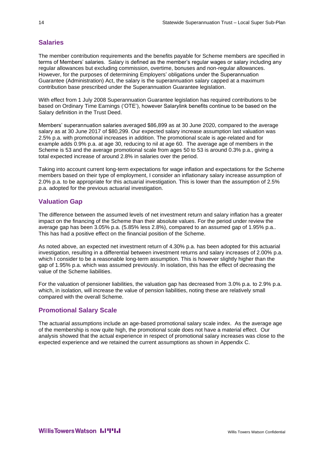# **Salaries**

The member contribution requirements and the benefits payable for Scheme members are specified in terms of Members' salaries. Salary is defined as the member's regular wages or salary including any regular allowances but excluding commission, overtime, bonuses and non-regular allowances. However, for the purposes of determining Employers' obligations under the Superannuation Guarantee (Administration) Act, the salary is the superannuation salary capped at a maximum contribution base prescribed under the Superannuation Guarantee legislation.

With effect from 1 July 2008 Superannuation Guarantee legislation has required contributions to be based on Ordinary Time Earnings ('OTE'), however Salarylink benefits continue to be based on the Salary definition in the Trust Deed.

Members' superannuation salaries averaged \$86,899 as at 30 June 2020, compared to the average salary as at 30 June 2017 of \$80,299. Our expected salary increase assumption last valuation was 2.5% p.a. with promotional increases in addition. The promotional scale is age-related and for example adds 0.9% p.a. at age 30, reducing to nil at age 60. The average age of members in the Scheme is 53 and the average promotional scale from ages 50 to 53 is around 0.3% p.a., giving a total expected increase of around 2.8% in salaries over the period.

Taking into account current long-term expectations for wage inflation and expectations for the Scheme members based on their type of employment, I consider an inflationary salary increase assumption of 2.0% p.a. to be appropriate for this actuarial investigation. This is lower than the assumption of 2.5% p.a. adopted for the previous actuarial investigation.

# **Valuation Gap**

The difference between the assumed levels of net investment return and salary inflation has a greater impact on the financing of the Scheme than their absolute values. For the period under review the average gap has been 3.05% p.a. (5.85% less 2.8%), compared to an assumed gap of 1.95% p.a.. This has had a positive effect on the financial position of the Scheme.

As noted above, an expected net investment return of 4.30% p.a. has been adopted for this actuarial investigation, resulting in a differential between investment returns and salary increases of 2.00% p.a. which I consider to be a reasonable long-term assumption. This is however slightly higher than the gap of 1.95% p.a. which was assumed previously. In isolation, this has the effect of decreasing the value of the Scheme liabilities.

For the valuation of pensioner liabilities, the valuation gap has decreased from 3.0% p.a. to 2.9% p.a. which, in isolation, will increase the value of pension liabilities, noting these are relatively small compared with the overall Scheme.

# **Promotional Salary Scale**

The actuarial assumptions include an age-based promotional salary scale index. As the average age of the membership is now quite high, the promotional scale does not have a material effect. Our analysis showed that the actual experience in respect of promotional salary increases was close to the expected experience and we retained the current assumptions as shown in Appendix C.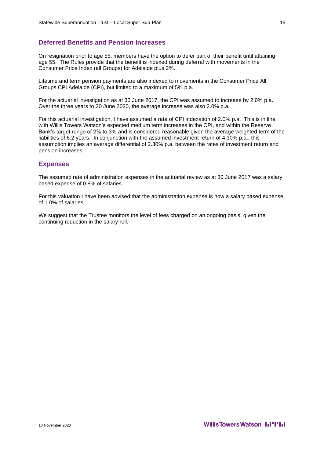## **Deferred Benefits and Pension Increases**

On resignation prior to age 55, members have the option to defer part of their benefit until attaining age 55. The Rules provide that the benefit is indexed during deferral with movements in the Consumer Price Index (all Groups) for Adelaide plus 2%.

Lifetime and term pension payments are also indexed to movements in the Consumer Price All Groups CPI Adelaide (CPI), but limited to a maximum of 5% p.a.

For the actuarial investigation as at 30 June 2017, the CPI was assumed to increase by 2.0% p.a.. Over the three years to 30 June 2020, the average increase was also 2.0% p.a.

For this actuarial investigation, I have assumed a rate of CPI indexation of 2.0% p.a. This is in line with Willis Towers Watson's expected medium term increases in the CPI, and within the Reserve Bank's target range of 2% to 3% and is considered reasonable given the average weighted term of the liabilities of 6.2 years. In conjunction with the assumed investment return of 4.30% p.a., this assumption implies an average differential of 2.30% p.a. between the rates of investment return and pension increases.

# **Expenses**

The assumed rate of administration expenses in the actuarial review as at 30 June 2017 was a salary based expense of 0.8% of salaries.

For this valuation I have been advised that the administration expense is now a salary based expense of 1.0% of salaries.

We suggest that the Trustee monitors the level of fees charged on an ongoing basis, given the continuing reduction in the salary roll.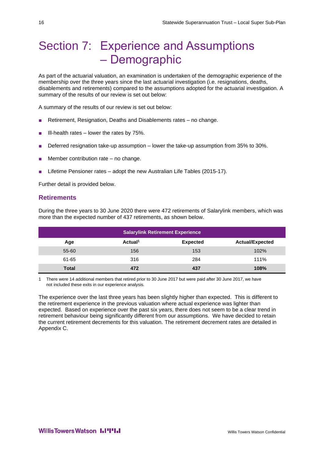# <span id="page-19-0"></span>Section 7: Experience and Assumptions – Demographic

As part of the actuarial valuation, an examination is undertaken of the demographic experience of the membership over the three years since the last actuarial investigation (i.e. resignations, deaths, disablements and retirements) compared to the assumptions adopted for the actuarial investigation. A summary of the results of our review is set out below:

A summary of the results of our review is set out below:

- Retirement, Resignation, Deaths and Disablements rates no change.
- Ill-health rates  $-$  lower the rates by 75%.
- Deferred resignation take-up assumption lower the take-up assumption from 35% to 30%.
- Member contribution rate  $-$  no change.
- Lifetime Pensioner rates adopt the new Australian Life Tables (2015-17).

Further detail is provided below.

# **Retirements**

During the three years to 30 June 2020 there were 472 retirements of Salarylink members, which was more than the expected number of 437 retirements, as shown below.

| <b>Salarylink Retirement Experience</b> |                     |                 |                        |  |
|-----------------------------------------|---------------------|-----------------|------------------------|--|
| Age                                     | Actual <sup>1</sup> | <b>Expected</b> | <b>Actual/Expected</b> |  |
| 55-60                                   | 156                 | 153             | 102%                   |  |
| 61-65                                   | 316                 | 284             | 111%                   |  |
| Total                                   | 472                 | 437             | 108%                   |  |

1 There were 14 additional members that retired prior to 30 June 2017 but were paid after 30 June 2017, we have not included these exits in our experience analysis.

The experience over the last three years has been slightly higher than expected. This is different to the retirement experience in the previous valuation where actual experience was lighter than expected. Based on experience over the past six years, there does not seem to be a clear trend in retirement behaviour being significantly different from our assumptions. We have decided to retain the current retirement decrements for this valuation. The retirement decrement rates are detailed in Appendix C.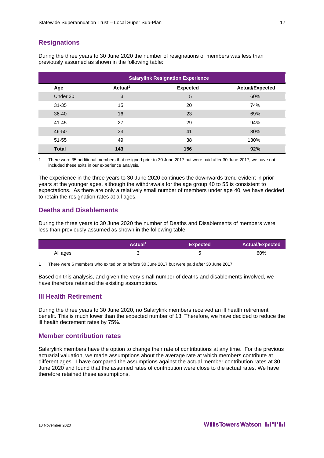# **Resignations**

During the three years to 30 June 2020 the number of resignations of members was less than previously assumed as shown in the following table:

|              |                     | <b>Salarylink Resignation Experience</b> |                        |
|--------------|---------------------|------------------------------------------|------------------------|
| Age          | Actual <sup>1</sup> | <b>Expected</b>                          | <b>Actual/Expected</b> |
| Under 30     | 3                   | 5                                        | 60%                    |
| $31 - 35$    | 15                  | 20                                       | 74%                    |
| $36 - 40$    | 16                  | 23                                       | 69%                    |
| $41 - 45$    | 27                  | 29                                       | 94%                    |
| 46-50        | 33                  | 41                                       | 80%                    |
| $51 - 55$    | 49                  | 38                                       | 130%                   |
| <b>Total</b> | 143                 | 156                                      | 92%                    |

1 There were 35 additional members that resigned prior to 30 June 2017 but were paid after 30 June 2017, we have not included these exits in our experience analysis.

The experience in the three years to 30 June 2020 continues the downwards trend evident in prior years at the younger ages, although the withdrawals for the age group 40 to 55 is consistent to expectations. As there are only a relatively small number of members under age 40, we have decided to retain the resignation rates at all ages.

## **Deaths and Disablements**

During the three years to 30 June 2020 the number of Deaths and Disablements of members were less than previously assumed as shown in the following table:

|          | Actual <sup>1</sup> | <b>Expected</b> | <b>Actual/Expected</b> |
|----------|---------------------|-----------------|------------------------|
| All ages |                     |                 | 60%                    |

1 There were 6 members who exited on or before 30 June 2017 but were paid after 30 June 2017.

Based on this analysis, and given the very small number of deaths and disablements involved, we have therefore retained the existing assumptions.

# **Ill Health Retirement**

During the three years to 30 June 2020, no Salarylink members received an ill health retirement benefit. This is much lower than the expected number of 13. Therefore, we have decided to reduce the ill health decrement rates by 75%.

## **Member contribution rates**

Salarylink members have the option to change their rate of contributions at any time. For the previous actuarial valuation, we made assumptions about the average rate at which members contribute at different ages. I have compared the assumptions against the actual member contribution rates at 30 June 2020 and found that the assumed rates of contribution were close to the actual rates. We have therefore retained these assumptions.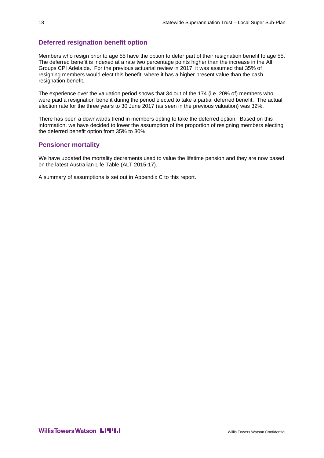# **Deferred resignation benefit option**

Members who resign prior to age 55 have the option to defer part of their resignation benefit to age 55. The deferred benefit is indexed at a rate two percentage points higher than the increase in the All Groups CPI Adelaide. For the previous actuarial review in 2017, it was assumed that 35% of resigning members would elect this benefit, where it has a higher present value than the cash resignation benefit.

The experience over the valuation period shows that 34 out of the 174 (i.e. 20% of) members who were paid a resignation benefit during the period elected to take a partial deferred benefit. The actual election rate for the three years to 30 June 2017 (as seen in the previous valuation) was 32%.

There has been a downwards trend in members opting to take the deferred option. Based on this information, we have decided to lower the assumption of the proportion of resigning members electing the deferred benefit option from 35% to 30%.

# **Pensioner mortality**

We have updated the mortality decrements used to value the lifetime pension and they are now based on the latest Australian Life Table (ALT 2015-17).

A summary of assumptions is set out in Appendix C to this report.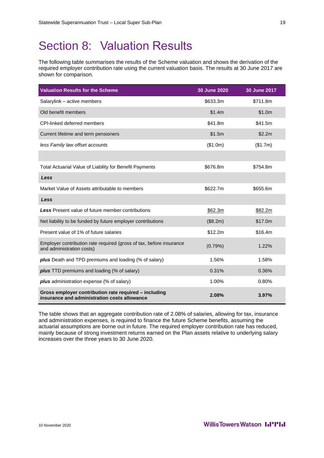# <span id="page-22-0"></span>Section 8: Valuation Results

The following table summarises the results of the Scheme valuation and shows the derivation of the required employer contribution rate using the current valuation basis. The results at 30 June 2017 are shown for comparison.

| <b>Valuation Results for the Scheme</b>                                                               | 30 June 2020 | 30 June 2017 |
|-------------------------------------------------------------------------------------------------------|--------------|--------------|
| Salarylink - active members                                                                           | \$633.3m     | \$711.8m     |
| Old benefit members                                                                                   | \$1.4m       | \$1.0m       |
| <b>CPI-linked deferred members</b>                                                                    | \$41.8m      | \$41.5m      |
| Current lifetime and term pensioners                                                                  | \$1.5m       | \$2.2m       |
| less Family law offset accounts                                                                       | (\$1.0m)     | (\$1.7m)     |
|                                                                                                       |              |              |
| Total Actuarial Value of Liability for Benefit Payments                                               | \$676.8m     | \$754.8m     |
| Less                                                                                                  |              |              |
| Market Value of Assets attributable to members                                                        | \$622.7m     | \$655.6m     |
| Less                                                                                                  |              |              |
| <b>Less</b> Present value of future member contributions                                              | \$62.3m      | \$82.2m      |
| Net liability to be funded by future employer contributions                                           | (\$8.2m)     | \$17.0m      |
| Present value of 1% of future salaries                                                                | \$12.2m      | \$16.4m      |
| Employer contribution rate required (gross of tax, before insurance<br>and administration costs)      | (0.79%)      | 1.22%        |
| <b>plus</b> Death and TPD premiums and loading (% of salary)                                          | 1.56%        | 1.58%        |
| <b>plus</b> TTD premiums and loading (% of salary)                                                    | 0.31%        | 0.36%        |
| plus administration expense (% of salary)                                                             | 1.00%        | 0.80%        |
| Gross employer contribution rate required - including<br>insurance and administration costs allowance | 2.08%        | 3.97%        |

The table shows that an aggregate contribution rate of 2.08% of salaries, allowing for tax, insurance and administration expenses, is required to finance the future Scheme benefits, assuming the actuarial assumptions are borne out in future. The required employer contribution rate has reduced, mainly because of strong investment returns earned on the Plan assets relative to underlying salary increases over the three years to 30 June 2020.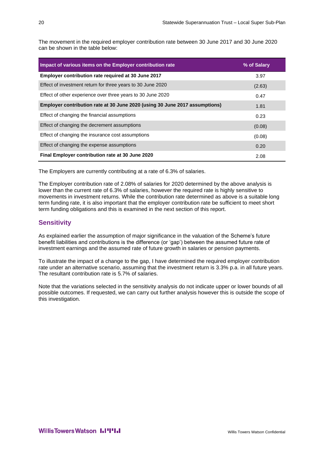The movement in the required employer contribution rate between 30 June 2017 and 30 June 2020 can be shown in the table below:

| Impact of various items on the Employer contribution rate                   | % of Salary |
|-----------------------------------------------------------------------------|-------------|
| Employer contribution rate required at 30 June 2017                         | 3.97        |
| Effect of investment return for three years to 30 June 2020                 | (2.63)      |
| Effect of other experience over three years to 30 June 2020                 | 0.47        |
| Employer contribution rate at 30 June 2020 (using 30 June 2017 assumptions) | 1.81        |
| Effect of changing the financial assumptions                                | 0.23        |
| Effect of changing the decrement assumptions                                | (0.08)      |
| Effect of changing the insurance cost assumptions                           | (0.08)      |
| Effect of changing the expense assumptions                                  | 0.20        |
| Final Employer contribution rate at 30 June 2020                            | 2.08        |

The Employers are currently contributing at a rate of 6.3% of salaries.

The Employer contribution rate of 2.08% of salaries for 2020 determined by the above analysis is lower than the current rate of 6.3% of salaries, however the required rate is highly sensitive to movements in investment returns. While the contribution rate determined as above is a suitable long term funding rate, it is also important that the employer contribution rate be sufficient to meet short term funding obligations and this is examined in the next section of this report.

# **Sensitivity**

As explained earlier the assumption of major significance in the valuation of the Scheme's future benefit liabilities and contributions is the difference (or 'gap') between the assumed future rate of investment earnings and the assumed rate of future growth in salaries or pension payments.

To illustrate the impact of a change to the gap, I have determined the required employer contribution rate under an alternative scenario, assuming that the investment return is 3.3% p.a. in all future years. The resultant contribution rate is 5.7% of salaries.

Note that the variations selected in the sensitivity analysis do not indicate upper or lower bounds of all possible outcomes. If requested, we can carry out further analysis however this is outside the scope of this investigation.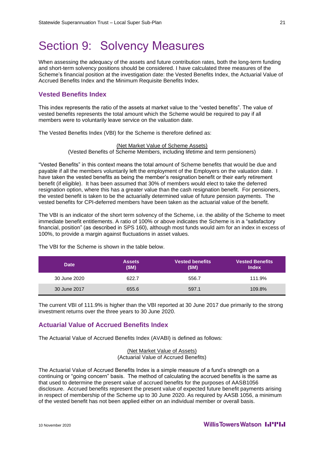# <span id="page-24-0"></span>Section 9: Solvency Measures

When assessing the adequacy of the assets and future contribution rates, both the long-term funding and short-term solvency positions should be considered. I have calculated three measures of the Scheme's financial position at the investigation date: the Vested Benefits Index, the Actuarial Value of Accrued Benefits Index and the Minimum Requisite Benefits Index.

### **Vested Benefits Index**

This index represents the ratio of the assets at market value to the "vested benefits". The value of vested benefits represents the total amount which the Scheme would be required to pay if all members were to voluntarily leave service on the valuation date.

The Vested Benefits Index (VBI) for the Scheme is therefore defined as:

(Net Market Value of Scheme Assets) (Vested Benefits of Scheme Members, including lifetime and term pensioners)

"Vested Benefits" in this context means the total amount of Scheme benefits that would be due and payable if all the members voluntarily left the employment of the Employers on the valuation date. I have taken the vested benefits as being the member's resignation benefit or their early retirement benefit (if eligible). It has been assumed that 30% of members would elect to take the deferred resignation option, where this has a greater value than the cash resignation benefit. For pensioners, the vested benefit is taken to be the actuarially determined value of future pension payments. The vested benefits for CPI-deferred members have been taken as the actuarial value of the benefit.

The VBI is an indicator of the short term solvency of the Scheme, i.e. the ability of the Scheme to meet immediate benefit entitlements. A ratio of 100% or above indicates the Scheme is in a "satisfactory financial, position" (as described in SPS 160), although most funds would aim for an index in excess of 100%, to provide a margin against fluctuations in asset values.

| <b>Date</b>  | <b>Assets</b><br>(SM) | <b>Vested benefits</b><br>(SM) | <b>Vested Benefits</b> ،<br><b>Index</b> |
|--------------|-----------------------|--------------------------------|------------------------------------------|
| 30 June 2020 | 622.7                 | 556.7                          | 111.9%                                   |
| 30 June 2017 | 655.6                 | 597.1                          | 109.8%                                   |

The VBI for the Scheme is shown in the table below.

The current VBI of 111.9% is higher than the VBI reported at 30 June 2017 due primarily to the strong investment returns over the three years to 30 June 2020.

### **Actuarial Value of Accrued Benefits Index**

The Actuarial Value of Accrued Benefits Index (AVABI) is defined as follows:

(Net Market Value of Assets) (Actuarial Value of Accrued Benefits)

The Actuarial Value of Accrued Benefits Index is a simple measure of a fund's strength on a continuing or "going concern" basis. The method of calculating the accrued benefits is the same as that used to determine the present value of accrued benefits for the purposes of AASB1056 disclosure. Accrued benefits represent the present value of expected future benefit payments arising in respect of membership of the Scheme up to 30 June 2020. As required by AASB 1056, a minimum of the vested benefit has not been applied either on an individual member or overall basis.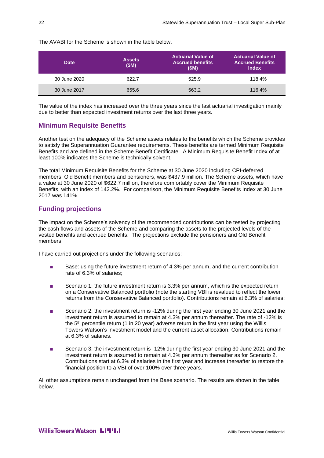The AVABI for the Scheme is shown in the table below.

| <b>Date</b>  | <b>Assets</b><br>(SM) | <b>Actuarial Value of</b><br><b>Accrued benefits</b><br>(SM) | <b>Actuarial Value of</b><br><b>Accrued Benefits</b><br><b>Index</b> |
|--------------|-----------------------|--------------------------------------------------------------|----------------------------------------------------------------------|
| 30 June 2020 | 622.7                 | 525.9                                                        | 118.4%                                                               |
| 30 June 2017 | 655.6                 | 563.2                                                        | 116.4%                                                               |

The value of the index has increased over the three years since the last actuarial investigation mainly due to better than expected investment returns over the last three years.

# **Minimum Requisite Benefits**

Another test on the adequacy of the Scheme assets relates to the benefits which the Scheme provides to satisfy the Superannuation Guarantee requirements. These benefits are termed Minimum Requisite Benefits and are defined in the Scheme Benefit Certificate. A Minimum Requisite Benefit Index of at least 100% indicates the Scheme is technically solvent.

The total Minimum Requisite Benefits for the Scheme at 30 June 2020 including CPI-deferred members, Old Benefit members and pensioners, was \$437.9 million. The Scheme assets, which have a value at 30 June 2020 of \$622.7 million, therefore comfortably cover the Minimum Requisite Benefits, with an index of 142.2%. For comparison, the Minimum Requisite Benefits Index at 30 June 2017 was 141%.

# **Funding projections**

The impact on the Scheme's solvency of the recommended contributions can be tested by projecting the cash flows and assets of the Scheme and comparing the assets to the projected levels of the vested benefits and accrued benefits. The projections exclude the pensioners and Old Benefit members.

I have carried out projections under the following scenarios:

- Base: using the future investment return of 4.3% per annum, and the current contribution rate of 6.3% of salaries;
- Scenario 1: the future investment return is 3.3% per annum, which is the expected return on a Conservative Balanced portfolio (note the starting VBI is revalued to reflect the lower returns from the Conservative Balanced portfolio). Contributions remain at 6.3% of salaries;
- Scenario 2: the investment return is -12% during the first year ending 30 June 2021 and the investment return is assumed to remain at 4.3% per annum thereafter. The rate of -12% is the 5<sup>th</sup> percentile return (1 in 20 year) adverse return in the first year using the Willis Towers Watson's investment model and the current asset allocation. Contributions remain at 6.3% of salaries.
- Scenario 3: the investment return is -12% during the first year ending 30 June 2021 and the investment return is assumed to remain at 4.3% per annum thereafter as for Scenario 2. Contributions start at 6.3% of salaries in the first year and increase thereafter to restore the financial position to a VBI of over 100% over three years.

All other assumptions remain unchanged from the Base scenario. The results are shown in the table below.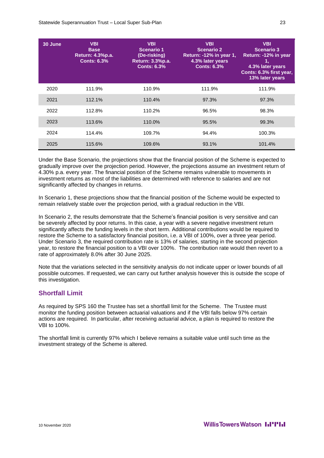| 30 June | <b>VBI</b><br><b>Base</b><br>Return: 4.3%p.a.<br><b>Conts: 6.3%</b> | <b>VBI</b><br><b>Scenario 1</b><br>(De-risking)<br>Return: 3.3%p.a.<br><b>Conts: 6.3%</b> | <b>VBI</b><br><b>Scenario 2</b><br>Return: -12% in year 1,<br>4.3% later years<br><b>Conts: 6.3%</b> | <b>VBI</b><br><b>Scenario 3</b><br>Return: -12% in year<br>1,<br>4.3% later years<br>Conts: 6.3% first year,<br>13% later years |
|---------|---------------------------------------------------------------------|-------------------------------------------------------------------------------------------|------------------------------------------------------------------------------------------------------|---------------------------------------------------------------------------------------------------------------------------------|
| 2020    | 111.9%                                                              | 110.9%                                                                                    | 111.9%                                                                                               | 111.9%                                                                                                                          |
| 2021    | 112.1%                                                              | 110.4%                                                                                    | 97.3%                                                                                                | 97.3%                                                                                                                           |
| 2022    | 112.8%                                                              | 110.2%                                                                                    | 96.5%                                                                                                | 98.3%                                                                                                                           |
| 2023    | 113.6%                                                              | 110.0%                                                                                    | 95.5%                                                                                                | 99.3%                                                                                                                           |
| 2024    | 114.4%                                                              | 109.7%                                                                                    | 94.4%                                                                                                | 100.3%                                                                                                                          |
| 2025    | 115.6%                                                              | 109.6%                                                                                    | 93.1%                                                                                                | 101.4%                                                                                                                          |

Under the Base Scenario, the projections show that the financial position of the Scheme is expected to gradually improve over the projection period. However, the projections assume an investment return of 4.30% p.a. every year. The financial position of the Scheme remains vulnerable to movements in investment returns as most of the liabilities are determined with reference to salaries and are not significantly affected by changes in returns.

In Scenario 1, these projections show that the financial position of the Scheme would be expected to remain relatively stable over the projection period, with a gradual reduction in the VBI.

In Scenario 2, the results demonstrate that the Scheme's financial position is very sensitive and can be severely affected by poor returns. In this case, a year with a severe negative investment return significantly affects the funding levels in the short term. Additional contributions would be required to restore the Scheme to a satisfactory financial position, i.e. a VBI of 100%, over a three year period. Under Scenario 3, the required contribution rate is 13% of salaries, starting in the second projection year, to restore the financial position to a VBI over 100%. The contribution rate would then revert to a rate of approximately 8.0% after 30 June 2025.

Note that the variations selected in the sensitivity analysis do not indicate upper or lower bounds of all possible outcomes. If requested, we can carry out further analysis however this is outside the scope of this investigation.

# **Shortfall Limit**

As required by SPS 160 the Trustee has set a shortfall limit for the Scheme. The Trustee must monitor the funding position between actuarial valuations and if the VBI falls below 97% certain actions are required. In particular, after receiving actuarial advice, a plan is required to restore the VBI to 100%.

The shortfall limit is currently 97% which I believe remains a suitable value until such time as the investment strategy of the Scheme is altered.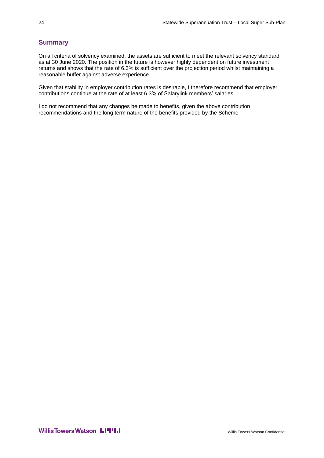# **Summary**

On all criteria of solvency examined, the assets are sufficient to meet the relevant solvency standard as at 30 June 2020. The position in the future is however highly dependent on future investment returns and shows that the rate of 6.3% is sufficient over the projection period whilst maintaining a reasonable buffer against adverse experience.

Given that stability in employer contribution rates is desirable, I therefore recommend that employer contributions continue at the rate of at least 6.3% of Salarylink members' salaries.

I do not recommend that any changes be made to benefits, given the above contribution recommendations and the long term nature of the benefits provided by the Scheme.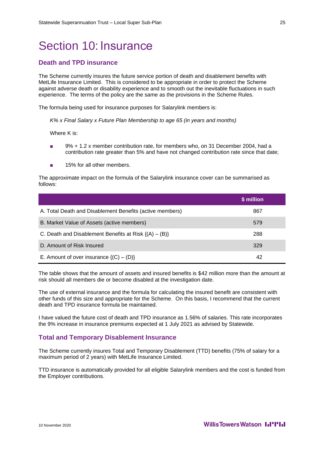# <span id="page-28-0"></span>Section 10: Insurance

# **Death and TPD insurance**

The Scheme currently insures the future service portion of death and disablement benefits with MetLife Insurance Limited. This is considered to be appropriate in order to protect the Scheme against adverse death or disability experience and to smooth out the inevitable fluctuations in such experience. The terms of the policy are the same as the provisions in the Scheme Rules.

The formula being used for insurance purposes for Salarylink members is:

*K% x Final Salary x Future Plan Membership to age 65 (in years and months)*

Where K is:

- 9% + 1.2 x member contribution rate, for members who, on 31 December 2004, had a contribution rate greater than 5% and have not changed contribution rate since that date;
- 15% for all other members.

The approximate impact on the formula of the Salarylink insurance cover can be summarised as follows:

|                                                            | \$ million |
|------------------------------------------------------------|------------|
| A. Total Death and Disablement Benefits (active members)   | 867        |
| B. Market Value of Assets (active members)                 | 579        |
| C. Death and Disablement Benefits at Risk $\{(A) - (B)\}\$ | 288        |
| D. Amount of Risk Insured                                  | 329        |
| E. Amount of over insurance $\{(C) - (D)\}\$               | 42         |

The table shows that the amount of assets and insured benefits is \$42 million more than the amount at risk should all members die or become disabled at the investigation date.

The use of external insurance and the formula for calculating the insured benefit are consistent with other funds of this size and appropriate for the Scheme. On this basis, I recommend that the current death and TPD insurance formula be maintained.

I have valued the future cost of death and TPD insurance as 1.56% of salaries. This rate incorporates the 9% increase in insurance premiums expected at 1 July 2021 as advised by Statewide.

### **Total and Temporary Disablement Insurance**

The Scheme currently insures Total and Temporary Disablement (TTD) benefits (75% of salary for a maximum period of 2 years) with MetLife Insurance Limited.

TTD insurance is automatically provided for all eligible Salarylink members and the cost is funded from the Employer contributions.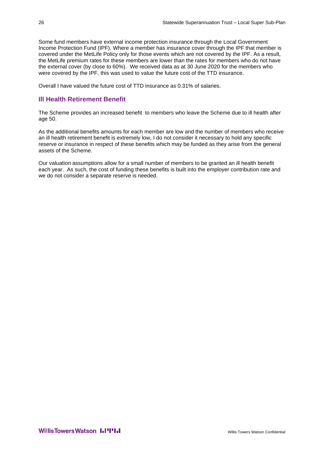Some fund members have external income protection insurance through the Local Government Income Protection Fund (IPF). Where a member has insurance cover through the IPF that member is covered under the MetLife Policy only for those events which are not covered by the IPF. As a result, the MetLife premium rates for these members are lower than the rates for members who do not have the external cover (by close to 60%). We received data as at 30 June 2020 for the members who were covered by the IPF, this was used to value the future cost of the TTD insurance.

Overall I have valued the future cost of TTD insurance as 0.31% of salaries.

# **Ill Health Retirement Benefit**

The Scheme provides an increased benefit to members who leave the Scheme due to ill health after age 50.

As the additional benefits amounts for each member are low and the number of members who receive an ill health retirement benefit is extremely low, I do not consider it necessary to hold any specific reserve or insurance in respect of these benefits which may be funded as they arise from the general assets of the Scheme.

Our valuation assumptions allow for a small number of members to be granted an ill health benefit each year. As such, the cost of funding these benefits is built into the employer contribution rate and we do not consider a separate reserve is needed.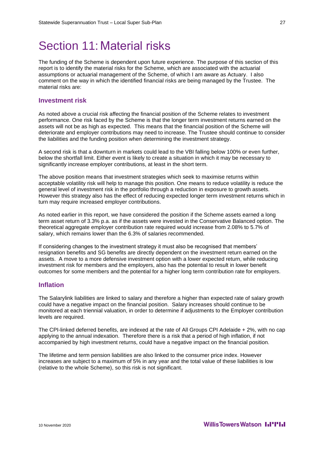# <span id="page-30-0"></span>Section 11: Material risks

The funding of the Scheme is dependent upon future experience. The purpose of this section of this report is to identify the material risks for the Scheme, which are associated with the actuarial assumptions or actuarial management of the Scheme, of which I am aware as Actuary. I also comment on the way in which the identified financial risks are being managed by the Trustee. The material risks are:

### **Investment risk**

As noted above a crucial risk affecting the financial position of the Scheme relates to investment performance. One risk faced by the Scheme is that the longer term investment returns earned on the assets will not be as high as expected. This means that the financial position of the Scheme will deteriorate and employer contributions may need to increase. The Trustee should continue to consider the liabilities and the funding position when determining the investment strategy.

A second risk is that a downturn in markets could lead to the VBI falling below 100% or even further, below the shortfall limit. Either event is likely to create a situation in which it may be necessary to significantly increase employer contributions, at least in the short term.

The above position means that investment strategies which seek to maximise returns within acceptable volatility risk will help to manage this position. One means to reduce volatility is reduce the general level of investment risk in the portfolio through a reduction in exposure to growth assets. However this strategy also has the effect of reducing expected longer term investment returns which in turn may require increased employer contributions.

As noted earlier in this report, we have considered the position if the Scheme assets earned a long term asset return of 3.3% p.a. as if the assets were invested in the Conservative Balanced option. The theoretical aggregate employer contribution rate required would increase from 2.08% to 5.7% of salary, which remains lower than the 6.3% of salaries recommended.

If considering changes to the investment strategy it must also be recognised that members' resignation benefits and SG benefits are directly dependent on the investment return earned on the assets. A move to a more defensive investment option with a lower expected return, while reducing investment risk for members and the employers, also has the potential to result in lower benefit outcomes for some members and the potential for a higher long term contribution rate for employers.

## **Inflation**

The Salarylink liabilities are linked to salary and therefore a higher than expected rate of salary growth could have a negative impact on the financial position. Salary increases should continue to be monitored at each triennial valuation, in order to determine if adjustments to the Employer contribution levels are required.

The CPI-linked deferred benefits, are indexed at the rate of All Groups CPI Adelaide + 2%, with no cap applying to the annual indexation. Therefore there is a risk that a period of high inflation, if not accompanied by high investment returns, could have a negative impact on the financial position.

The lifetime and term pension liabilities are also linked to the consumer price index. However increases are subject to a maximum of 5% in any year and the total value of these liabilities is low (relative to the whole Scheme), so this risk is not significant.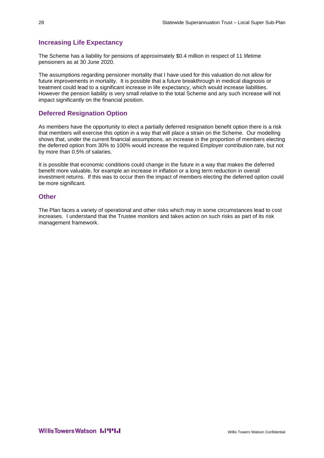# **Increasing Life Expectancy**

The Scheme has a liability for pensions of approximately \$0.4 million in respect of 11 lifetime pensioners as at 30 June 2020.

The assumptions regarding pensioner mortality that I have used for this valuation do not allow for future improvements in mortality. It is possible that a future breakthrough in medical diagnosis or treatment could lead to a significant increase in life expectancy, which would increase liabilities. However the pension liability is very small relative to the total Scheme and any such increase will not impact significantly on the financial position.

# **Deferred Resignation Option**

As members have the opportunity to elect a partially deferred resignation benefit option there is a risk that members will exercise this option in a way that will place a strain on the Scheme. Our modelling shows that, under the current financial assumptions, an increase in the proportion of members electing the deferred option from 30% to 100% would increase the required Employer contribution rate, but not by more than 0.5% of salaries.

It is possible that economic conditions could change in the future in a way that makes the deferred benefit more valuable, for example an increase in inflation or a long term reduction in overall investment returns. If this was to occur then the impact of members electing the deferred option could be more significant.

## **Other**

The Plan faces a variety of operational and other risks which may in some circumstances lead to cost increases. I understand that the Trustee monitors and takes action on such risks as part of its risk management framework.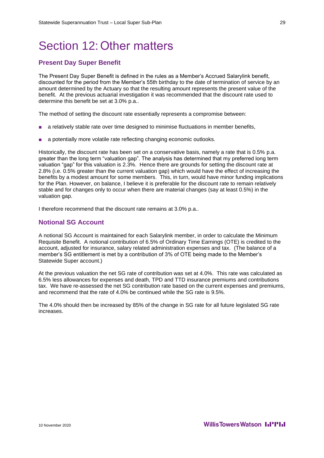# <span id="page-32-0"></span>Section 12:Other matters

# **Present Day Super Benefit**

The Present Day Super Benefit is defined in the rules as a Member's Accrued Salarylink benefit, discounted for the period from the Member's 55th birthday to the date of termination of service by an amount determined by the Actuary so that the resulting amount represents the present value of the benefit. At the previous actuarial investigation it was recommended that the discount rate used to determine this benefit be set at 3.0% p.a..

The method of setting the discount rate essentially represents a compromise between:

- a relatively stable rate over time designed to minimise fluctuations in member benefits,
- a potentially more volatile rate reflecting changing economic outlooks.

Historically, the discount rate has been set on a conservative basis, namely a rate that is 0.5% p.a. greater than the long term "valuation gap". The analysis has determined that my preferred long term valuation "gap" for this valuation is 2.3%. Hence there are grounds for setting the discount rate at 2.8% (i.e. 0.5% greater than the current valuation gap) which would have the effect of increasing the benefits by a modest amount for some members. This, in turn, would have minor funding implications for the Plan. However, on balance, I believe it is preferable for the discount rate to remain relatively stable and for changes only to occur when there are material changes (say at least 0.5%) in the valuation gap.

I therefore recommend that the discount rate remains at 3.0% p.a..

## **Notional SG Account**

A notional SG Account is maintained for each Salarylink member, in order to calculate the Minimum Requisite Benefit. A notional contribution of 6.5% of Ordinary Time Earnings (OTE) is credited to the account, adjusted for insurance, salary related administration expenses and tax. (The balance of a member's SG entitlement is met by a contribution of 3% of OTE being made to the Member's Statewide Super account.)

At the previous valuation the net SG rate of contribution was set at 4.0%. This rate was calculated as 6.5% less allowances for expenses and death, TPD and TTD insurance premiums and contributions tax. We have re-assessed the net SG contribution rate based on the current expenses and premiums, and recommend that the rate of 4.0% be continued while the SG rate is 9.5%.

The 4.0% should then be increased by 85% of the change in SG rate for all future legislated SG rate increases.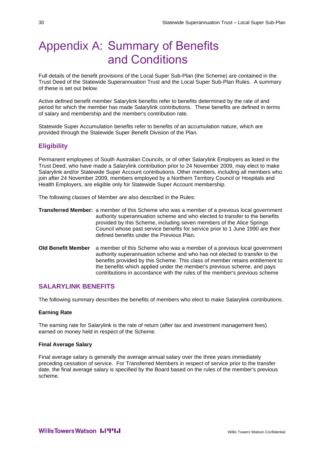# <span id="page-33-0"></span>Appendix A: Summary of Benefits and Conditions

Full details of the benefit provisions of the Local Super Sub-Plan (the Scheme) are contained in the Trust Deed of the Statewide Superannuation Trust and the Local Super Sub-Plan Rules. A summary of these is set out below.

Active defined benefit member Salarylink benefits refer to benefits determined by the rate of and period for which the member has made Salarylink contributions. These benefits are defined in terms of salary and membership and the member's contribution rate.

Statewide Super Accumulation benefits refer to benefits of an accumulation nature, which are provided through the Statewide Super Benefit Division of the Plan.

# **Eligibility**

Permanent employees of South Australian Councils, or of other Salarylink Employers as listed in the Trust Deed, who have made a Salarylink contribution prior to 24 November 2009, may elect to make Salarylink and/or Statewide Super Account contributions. Other members, including all members who join after 24 November 2009, members employed by a Northern Territory Council or Hospitals and Health Employers, are eligible only for Statewide Super Account membership.

The following classes of Member are also described in the Rules:

- **Transferred Member:** a member of this Scheme who was a member of a previous local government authority superannuation scheme and who elected to transfer to the benefits provided by this Scheme, including seven members of the Alice Springs Council whose past service benefits for service prior to 1 June 1990 are their defined benefits under the Previous Plan.
- **Old Benefit Member** a member of this Scheme who was a member of a previous local government authority superannuation scheme and who has not elected to transfer to the benefits provided by this Scheme. This class of member retains entitlement to the benefits which applied under the member's previous scheme, and pays contributions in accordance with the rules of the member's previous scheme

## **SALARYLINK BENEFITS**

The following summary describes the benefits of members who elect to make Salarylink contributions.

#### **Earning Rate**

The earning rate for Salarylink is the rate of return (after tax and investment management fees) earned on money held in respect of the Scheme.

#### **Final Average Salary**

Final average salary is generally the average annual salary over the three years immediately preceding cessation of service. For Transferred Members in respect of service prior to the transfer date, the final average salary is specified by the Board based on the rules of the member's previous scheme.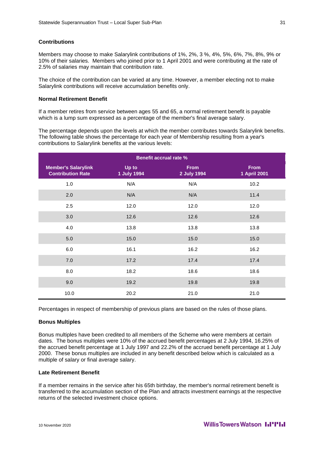#### **Contributions**

Members may choose to make Salarylink contributions of 1%, 2%, 3 %, 4%, 5%, 6%, 7%, 8%, 9% or 10% of their salaries. Members who joined prior to 1 April 2001 and were contributing at the rate of 2.5% of salaries may maintain that contribution rate.

The choice of the contribution can be varied at any time. However, a member electing not to make Salarylink contributions will receive accumulation benefits only.

#### **Normal Retirement Benefit**

If a member retires from service between ages 55 and 65, a normal retirement benefit is payable which is a lump sum expressed as a percentage of the member's final average salary.

The percentage depends upon the levels at which the member contributes towards Salarylink benefits. The following table shows the percentage for each year of Membership resulting from a year's contributions to Salarylink benefits at the various levels:

| <b>Benefit accrual rate %</b>                          |                      |                            |                             |
|--------------------------------------------------------|----------------------|----------------------------|-----------------------------|
| <b>Member's Salarylink</b><br><b>Contribution Rate</b> | Up to<br>1 July 1994 | <b>From</b><br>2 July 1994 | <b>From</b><br>1 April 2001 |
| 1.0                                                    | N/A                  | N/A                        | 10.2                        |
| 2.0                                                    | N/A                  | N/A                        | 11.4                        |
| 2.5                                                    | 12.0                 | 12.0                       | 12.0                        |
| 3.0                                                    | 12.6                 | 12.6                       | 12.6                        |
| 4.0                                                    | 13.8                 | 13.8                       | 13.8                        |
| 5.0                                                    | 15.0                 | 15.0                       | 15.0                        |
| 6.0                                                    | 16.1                 | 16.2                       | 16.2                        |
| 7.0                                                    | 17.2                 | 17.4                       | 17.4                        |
| 8.0                                                    | 18.2                 | 18.6                       | 18.6                        |
| 9.0                                                    | 19.2                 | 19.8                       | 19.8                        |
| 10.0                                                   | 20.2                 | 21.0                       | 21.0                        |

Percentages in respect of membership of previous plans are based on the rules of those plans.

#### **Bonus Multiples**

Bonus multiples have been credited to all members of the Scheme who were members at certain dates. The bonus multiples were 10% of the accrued benefit percentages at 2 July 1994, 16.25% of the accrued benefit percentage at 1 July 1997 and 22.2% of the accrued benefit percentage at 1 July 2000. These bonus multiples are included in any benefit described below which is calculated as a multiple of salary or final average salary.

#### **Late Retirement Benefit**

If a member remains in the service after his 65th birthday, the member's normal retirement benefit is transferred to the accumulation section of the Plan and attracts investment earnings at the respective returns of the selected investment choice options.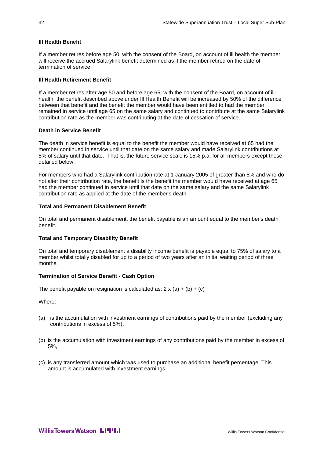### **Ill Health Benefit**

If a member retires before age 50, with the consent of the Board, on account of ill health the member will receive the accrued Salarylink benefit determined as if the member retired on the date of termination of service.

### **Ill Health Retirement Benefit**

If a member retires after age 50 and before age 65, with the consent of the Board, on account of illhealth, the benefit described above under Ill Health Benefit will be increased by 50% of the difference between that benefit and the benefit the member would have been entitled to had the member remained in service until age 65 on the same salary and continued to contribute at the same Salarylink contribution rate as the member was contributing at the date of cessation of service.

### **Death in Service Benefit**

The death in service benefit is equal to the benefit the member would have received at 65 had the member continued in service until that date on the same salary and made Salarylink contributions at 5% of salary until that date. That is, the future service scale is 15% p.a. for all members except those detailed below.

For members who had a Salarylink contribution rate at 1 January 2005 of greater than 5% and who do not alter their contribution rate, the benefit is the benefit the member would have received at age 65 had the member continued in service until that date on the same salary and the same Salarylink contribution rate as applied at the date of the member's death.

### **Total and Permanent Disablement Benefit**

On total and permanent disablement, the benefit payable is an amount equal to the member's death benefit.

#### **Total and Temporary Disability Benefit**

On total and temporary disablement a disability income benefit is payable equal to 75% of salary to a member whilst totally disabled for up to a period of two years after an initial waiting period of three months.

### **Termination of Service Benefit - Cash Option**

The benefit payable on resignation is calculated as:  $2 \times (a) + (b) + (c)$ 

Where:

- (a) is the accumulation with investment earnings of contributions paid by the member (excluding any contributions in excess of 5%),
- (b) is the accumulation with investment earnings of any contributions paid by the member in excess of 5%,
- (c) is any transferred amount which was used to purchase an additional benefit percentage. This amount is accumulated with investment earnings.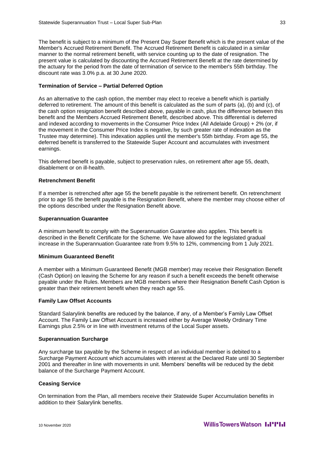The benefit is subject to a minimum of the Present Day Super Benefit which is the present value of the Member's Accrued Retirement Benefit. The Accrued Retirement Benefit is calculated in a similar manner to the normal retirement benefit, with service counting up to the date of resignation. The present value is calculated by discounting the Accrued Retirement Benefit at the rate determined by the actuary for the period from the date of termination of service to the member's 55th birthday. The discount rate was 3.0% p.a. at 30 June 2020.

## **Termination of Service – Partial Deferred Option**

As an alternative to the cash option, the member may elect to receive a benefit which is partially deferred to retirement. The amount of this benefit is calculated as the sum of parts (a), (b) and (c), of the cash option resignation benefit described above, payable in cash, plus the difference between this benefit and the Members Accrued Retirement Benefit, described above. This differential is deferred and indexed according to movements in the Consumer Price Index (All Adelaide Group) + 2% (or, if the movement in the Consumer Price Index is negative, by such greater rate of indexation as the Trustee may determine). This indexation applies until the member's 55th birthday. From age 55, the deferred benefit is transferred to the Statewide Super Account and accumulates with investment earnings.

This deferred benefit is payable, subject to preservation rules, on retirement after age 55, death, disablement or on ill-health.

#### **Retrenchment Benefit**

If a member is retrenched after age 55 the benefit payable is the retirement benefit. On retrenchment prior to age 55 the benefit payable is the Resignation Benefit, where the member may choose either of the options described under the Resignation Benefit above.

#### **Superannuation Guarantee**

A minimum benefit to comply with the Superannuation Guarantee also applies. This benefit is described in the Benefit Certificate for the Scheme. We have allowed for the legislated gradual increase in the Superannuation Guarantee rate from 9.5% to 12%, commencing from 1 July 2021.

#### **Minimum Guaranteed Benefit**

A member with a Minimum Guaranteed Benefit (MGB member) may receive their Resignation Benefit (Cash Option) on leaving the Scheme for any reason if such a benefit exceeds the benefit otherwise payable under the Rules. Members are MGB members where their Resignation Benefit Cash Option is greater than their retirement benefit when they reach age 55.

#### **Family Law Offset Accounts**

Standard Salarylink benefits are reduced by the balance, if any, of a Member's Family Law Offset Account. The Family Law Offset Account is increased either by Average Weekly Ordinary Time Earnings plus 2.5% or in line with investment returns of the Local Super assets.

#### **Superannuation Surcharge**

Any surcharge tax payable by the Scheme in respect of an individual member is debited to a Surcharge Payment Account which accumulates with interest at the Declared Rate until 30 September 2001 and thereafter in line with movements in unit. Members' benefits will be reduced by the debit balance of the Surcharge Payment Account.

### **Ceasing Service**

On termination from the Plan, all members receive their Statewide Super Accumulation benefits in addition to their Salarylink benefits.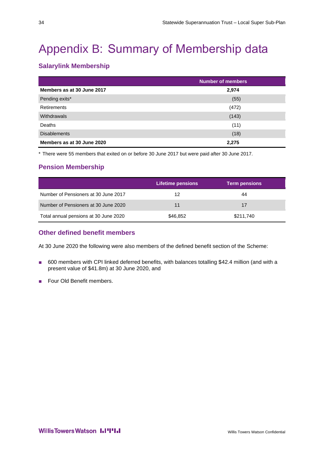# <span id="page-37-0"></span>Appendix B: Summary of Membership data

# **Salarylink Membership**

|                            | <b>Number of members</b> |
|----------------------------|--------------------------|
| Members as at 30 June 2017 | 2,974                    |
| Pending exits*             | (55)                     |
| <b>Retirements</b>         | (472)                    |
| <b>Withdrawals</b>         | (143)                    |
| Deaths                     | (11)                     |
| <b>Disablements</b>        | (18)                     |
| Members as at 30 June 2020 | 2,275                    |

\* There were 55 members that exited on or before 30 June 2017 but were paid after 30 June 2017.

# **Pension Membership**

|                                       | Lifetime pensions <b>b</b> | <b>Term pensions</b> |  |
|---------------------------------------|----------------------------|----------------------|--|
| Number of Pensioners at 30 June 2017  | 12                         | 44                   |  |
| Number of Pensioners at 30 June 2020  | 11                         | 17                   |  |
| Total annual pensions at 30 June 2020 | \$46,852                   | \$211,740            |  |

# **Other defined benefit members**

At 30 June 2020 the following were also members of the defined benefit section of the Scheme:

- 600 members with CPI linked deferred benefits, with balances totalling \$42.4 million (and with a present value of \$41.8m) at 30 June 2020, and
- Four Old Benefit members.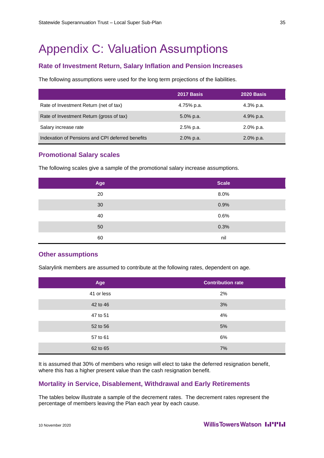# <span id="page-38-0"></span>Appendix C: Valuation Assumptions

# **Rate of Investment Return, Salary Inflation and Pension Increases**

The following assumptions were used for the long term projections of the liabilities.

|                                                  | 2017 Basis   | 2020 Basis   |
|--------------------------------------------------|--------------|--------------|
| Rate of Investment Return (net of tax)           | 4.75% p.a.   | 4.3% p.a.    |
| Rate of Investment Return (gross of tax)         | $5.0\%$ p.a. | 4.9% p.a.    |
| Salary increase rate                             | $2.5%$ p.a.  | $2.0\%$ p.a. |
| Indexation of Pensions and CPI deferred benefits | $2.0\%$ p.a. | $2.0\%$ p.a. |

# **Promotional Salary scales**

The following scales give a sample of the promotional salary increase assumptions.

| Age | <b>Scale</b> |
|-----|--------------|
| 20  | 8.0%         |
| 30  | 0.9%         |
| 40  | 0.6%         |
| 50  | 0.3%         |
| 60  | nil          |

### **Other assumptions**

Salarylink members are assumed to contribute at the following rates, dependent on age.

| Age        | <b>Contribution rate</b> |
|------------|--------------------------|
| 41 or less | 2%                       |
| 42 to 46   | 3%                       |
| 47 to 51   | 4%                       |
| 52 to 56   | 5%                       |
| 57 to 61   | 6%                       |
| 62 to 65   | 7%                       |

It is assumed that 30% of members who resign will elect to take the deferred resignation benefit, where this has a higher present value than the cash resignation benefit.

# **Mortality in Service, Disablement, Withdrawal and Early Retirements**

The tables below illustrate a sample of the decrement rates. The decrement rates represent the percentage of members leaving the Plan each year by each cause.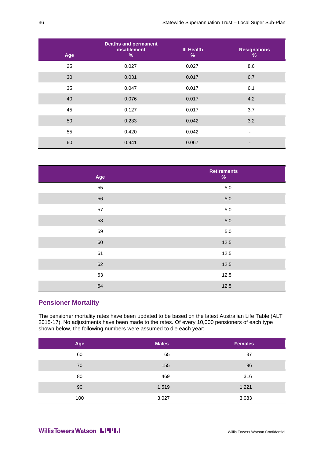| Age | <b>Deaths and permanent</b><br>disablement<br>% | <b>III Health</b><br>$\%$ | <b>Resignations</b><br>% |
|-----|-------------------------------------------------|---------------------------|--------------------------|
| 25  | 0.027                                           | 0.027                     | 8.6                      |
| 30  | 0.031                                           | 0.017                     | 6.7                      |
| 35  | 0.047                                           | 0.017                     | 6.1                      |
| 40  | 0.076                                           | 0.017                     | 4.2                      |
| 45  | 0.127                                           | 0.017                     | 3.7                      |
| 50  | 0.233                                           | 0.042                     | 3.2                      |
| 55  | 0.420                                           | 0.042                     | ٠                        |
| 60  | 0.941                                           | 0.067                     |                          |

| Age | <b>Retirements</b><br>$\%$ |
|-----|----------------------------|
| 55  | $5.0\,$                    |
| 56  | $5.0\,$                    |
| 57  | $5.0\,$                    |
| 58  | $5.0\,$                    |
| 59  | $5.0\,$                    |
| 60  | 12.5                       |
| 61  | 12.5                       |
| 62  | 12.5                       |
| 63  | 12.5                       |
| 64  | 12.5                       |

# **Pensioner Mortality**

The pensioner mortality rates have been updated to be based on the latest Australian Life Table (ALT 2015-17). No adjustments have been made to the rates. Of every 10,000 pensioners of each type shown below, the following numbers were assumed to die each year:

| Age | <b>Males</b> | <b>Females</b> |
|-----|--------------|----------------|
| 60  | 65           | 37             |
| 70  | 155          | 96             |
| 80  | 469          | 316            |
| 90  | 1,519        | 1,221          |
| 100 | 3,027        | 3,083          |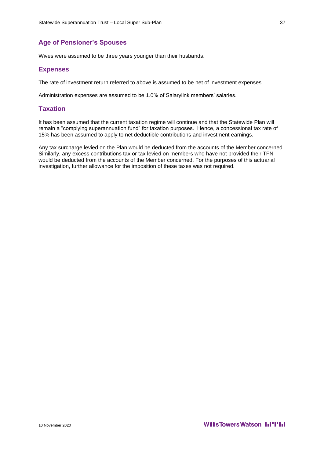# **Age of Pensioner's Spouses**

Wives were assumed to be three years younger than their husbands.

# **Expenses**

The rate of investment return referred to above is assumed to be net of investment expenses.

Administration expenses are assumed to be 1.0% of Salarylink members' salaries.

# **Taxation**

It has been assumed that the current taxation regime will continue and that the Statewide Plan will remain a "complying superannuation fund" for taxation purposes. Hence, a concessional tax rate of 15% has been assumed to apply to net deductible contributions and investment earnings.

Any tax surcharge levied on the Plan would be deducted from the accounts of the Member concerned. Similarly, any excess contributions tax or tax levied on members who have not provided their TFN would be deducted from the accounts of the Member concerned. For the purposes of this actuarial investigation, further allowance for the imposition of these taxes was not required.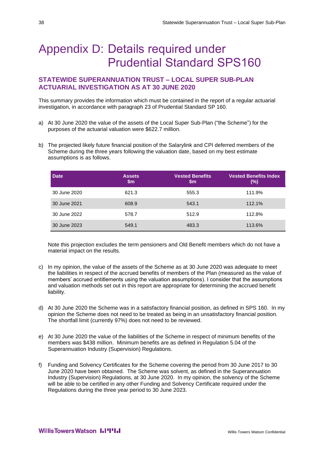# <span id="page-41-0"></span>Appendix D: Details required under Prudential Standard SPS160

# **STATEWIDE SUPERANNUATION TRUST – LOCAL SUPER SUB-PLAN ACTUARIAL INVESTIGATION AS AT 30 JUNE 2020**

This summary provides the information which must be contained in the report of a regular actuarial investigation, in accordance with paragraph 23 of Prudential Standard SP 160.

- a) At 30 June 2020 the value of the assets of the Local Super Sub-Plan ("the Scheme") for the purposes of the actuarial valuation were \$622.7 million.
- b) The projected likely future financial position of the Salarylink and CPI deferred members of the Scheme during the three years following the valuation date, based on my best estimate assumptions is as follows.

| <b>Date</b>  | <b>Assets</b><br>$\mathsf{Sm}$ | <b>Vested Benefits</b><br>$\mathsf{Sm}$ | <b>Vested Benefits Index</b><br>$(\%)$ |
|--------------|--------------------------------|-----------------------------------------|----------------------------------------|
| 30 June 2020 | 621.3                          | 555.3                                   | 111.9%                                 |
| 30 June 2021 | 608.9                          | 543.1                                   | 112.1%                                 |
| 30 June 2022 | 578.7                          | 512.9                                   | 112.8%                                 |
| 30 June 2023 | 549.1                          | 483.3                                   | 113.6%                                 |

Note this projection excludes the term pensioners and Old Benefit members which do not have a material impact on the results.

- c) In my opinion, the value of the assets of the Scheme as at 30 June 2020 was adequate to meet the liabilities in respect of the accrued benefits of members of the Plan (measured as the value of members' accrued entitlements using the valuation assumptions). I consider that the assumptions and valuation methods set out in this report are appropriate for determining the accrued benefit liability.
- d) At 30 June 2020 the Scheme was in a satisfactory financial position, as defined in SPS 160. In my opinion the Scheme does not need to be treated as being in an unsatisfactory financial position. The shortfall limit (currently 97%) does not need to be reviewed.
- e) At 30 June 2020 the value of the liabilities of the Scheme in respect of minimum benefits of the members was \$438 million. Minimum benefits are as defined in Regulation 5.04 of the Superannuation Industry (Supervision) Regulations.
- f) Funding and Solvency Certificates for the Scheme covering the period from 30 June 2017 to 30 June 2020 have been obtained. The Scheme was solvent, as defined in the Superannuation Industry (Supervision) Regulations, at 30 June 2020. In my opinion, the solvency of the Scheme will be able to be certified in any other Funding and Solvency Certificate required under the Regulations during the three year period to 30 June 2023.